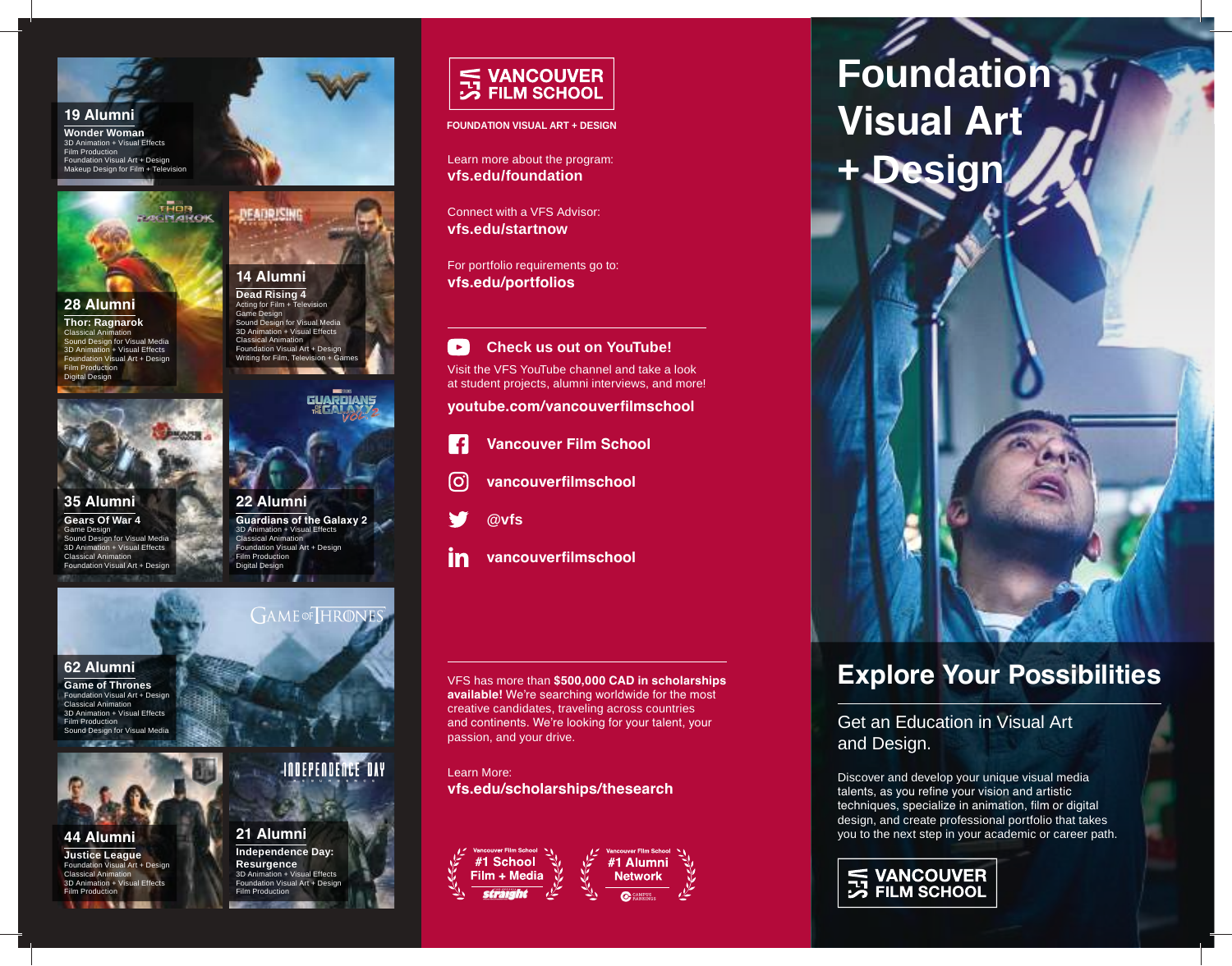**19 Alumni**

**Wonder Woman** 3D Animation + Visual Effects Film Production Foundation Visual Art + Design Makeup Design for Film + Television



**28 Alumni**

**Thor: Ragnarok** Classical Animation Sound Design for Visual Media 3D Animation + Visual Effects Foundation Visual Art + Design Film Production Digital Design



**35 Alumni Gears Of War 4** Game Design Sound Design for Visual Media 3D Animation + Visual Effects Classical Animation Foundation Visual Art + Design



H

**62 Alumni**

**Game of Thrones** Foundation Visual Art + Design Classical Animation 3D Animation + Visual Effects Film Production Sound Design for Visual Media

**44 Alumni Justice League** Foundation Visual Art + Design Classical Animation 3D Animation + Visual Effects Film Production



Acting for Film  $+$  Tel Game Design Sound Design for Visual Media 3D Animation + Visual Effects Classical Animation Foundation Visual Art + Design Writing for Film, Televis



**Guardians of the Galaxy 2**  Film Production Digital Design

**GAME** OF HRONES

**INDEPENDENCE DAY** 



**Independence Day:**  on + Visual Effects Foundation Visual Art + Design Film Production



**FOUNDATION VISUAL ART + DESIGN**

Learn more about the program: **vfs.edu/foundation**

Connect with a VFS Advisor: **vfs.edu/startnow**

For portfolio requirements go to: **vfs.edu/portfolios**

 $\rightarrow$ **Check us out on YouTube!** Visit the VFS YouTube channel and take a look at student projects, alumni interviews, and more!

**youtube.com/vancouverfilmschool**

- $\cdot$  f **Vancouver Film School**
- ြ **vancouverfilmschool**
- **@vfs**
- in **vancouverfilmschool**

VFS has more than **\$500,000 CAD in scholarships available!** We're searching worldwide for the most creative candidates, traveling across countries and continents. We're looking for your talent, your passion, and your drive.

Learn More: **vfs.edu/scholarships/thesearch**



**Foundation Visual Art + Design**



# **Explore Your Possibilities**

Get an Education in Visual Art and Design.

Discover and develop your unique visual media talents, as you refine your vision and artistic techniques, specialize in animation, film or digital design, and create professional portfolio that takes you to the next step in your academic or career path.